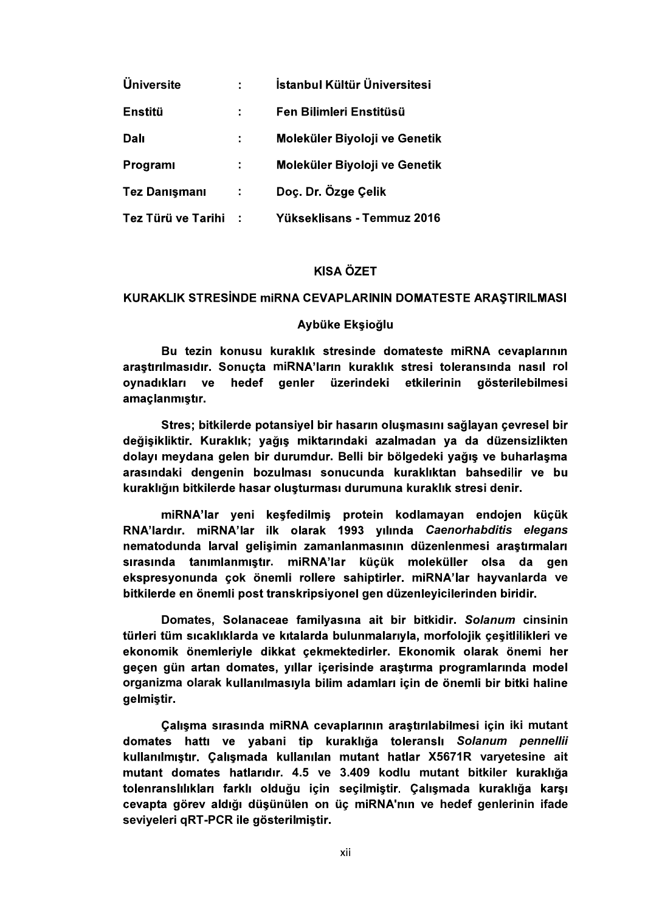| <b>Üniversite</b>    |     | İstanbul Kültür Üniversitesi  |
|----------------------|-----|-------------------------------|
| <b>Enstitü</b>       |     | Fen Bilimleri Enstitüsü       |
| Dalı                 | ÷.  | Moleküler Biyoloji ve Genetik |
| <b>Programi</b>      | ÷   | Moleküler Biyoloji ve Genetik |
| <b>Tez Danışmanı</b> | ÷   | Doç. Dr. Özge Çelik           |
| Tez Türü ve Tarihi   | - 1 | Yükseklisans - Temmuz 2016    |

KISA ÖZET<br>KURAKLIK STRESİNDE miRNA CEVAPLARININ DOMATESTE ARAŞTIRILMASI<br>Aybüke Ekşioğlu<br>Bu tezin konusu kuraklık stresinde domateste miRNA cevaplarının<br>araştırılmasıdır. Sonuçta miRNA'ların kuraklık stresi toleransında nas ovnadıkları ve hedef genler üzerindeki etkilerinin qösterilebilmesi amaçlanmıştır.

Stres: bitkilerde potansivel bir hasarın olusmasını sağlayan çevresel bir değişikliktir. Kuraklık; yağış miktarındaki azalmadan ya da düzensizlikten dolayı meydana gelen bir durumdur. Belli bir bölgedeki yağış ve buharlaşma arasındaki dengenin bozulması sonucunda kuraklıktan bahsedilir ve bu kuraklığın bitkilerde hasar oluşturması durumuna kuraklık stresi denir.

miRNA'lar yeni keşfedilmiş protein kodlamayan endojen küçük RNA'lardır, miRNA'lar ilk olarak 1993 yılında Caenorhabditis elegans nematodunda larval gelişimin zamanlanmasının düzenlenmesi araştırmaları sırasında tanımlanmıştır. miRNA'lar küçük moleküller olsa da gen<br>ekspresyonunda-çok-önemli-rollere-sahiptirler. miRNA'lar-hayvanlarda-ve bitkilerde en önemli post transkripsiyonel gen düzenleyicilerinden biridir.

Domates, Solanaceae familyasına ait bir bitkidir. Solanum cinsinin türleri tüm sıcaklıklarda ve kıtalarda bulunmalarıyla, morfolojik çeşitlilikleri ve ekonomik önemleriyle dikkat çekmektedirler. Ekonomik olarak önemi her geçen gün artan domates, yıllar içerisinde araştırma programlarında model organizma olarak kullanılmasıyla bilim adamları için de önemli bir bitki haline aelmistir.

Çalışma sırasında miRNA cevaplarının araştırılabilmesi için iki mutant domates hattı ve yabani tip kuraklığa toleranslı Solanum pennellii kullanılmıştır. Calismada kullanılan mutant hatlar X5671R varyetesine ait mutant domates hatlarıdır. 4.5 ve 3.409 kodlu mutant bitkiler kuraklığa tolenranslılıkları farklı olduğu için seçilmiştir. Çalışmada kuraklığa karşı cevapta görev aldığı düşünülen on üç miRNA'nın ve hedef genlerinin ifade seviyeleri qRT-PCR ile gösterilmiştir.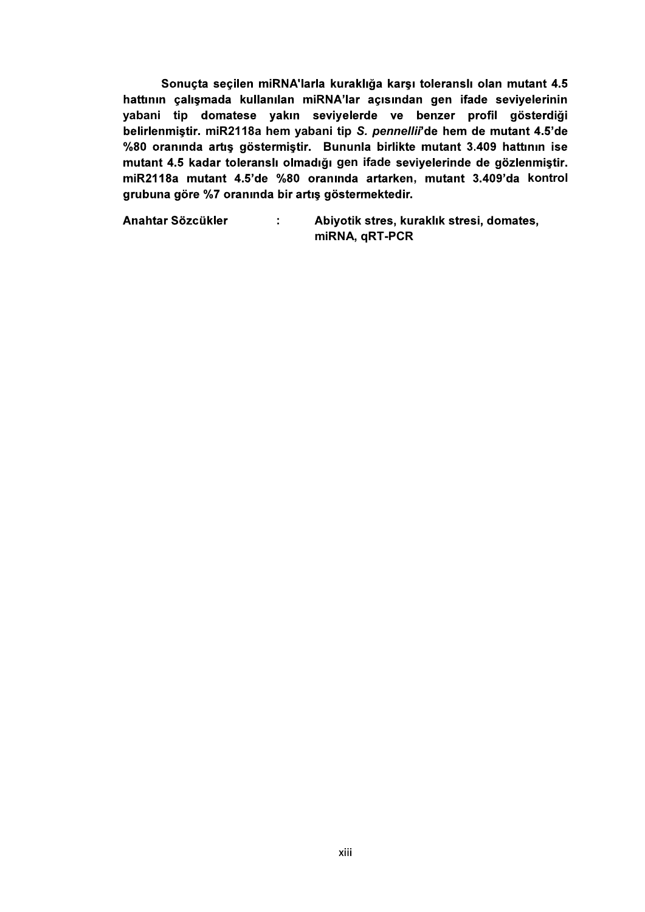Sonuçta seçilen miRNA'larla kuraklığa karşı toleranslı olan mutant 4.5 hattının çalışmada kullanılan miRNA'lar açısından gen ifade seviyelerinin yabani tip domatese yakın seviyelerde ve benzer profil gösterdiği belirlenmiştir. miR2118a hem yabani tip S. pennellii'de hem de mutant 4.5'de %80 oranında artış göstermiştir. Bununla birlikte mutant 3.409 hattının ise mutant 4.5 kadar toleranslı olmadığı gen ifade seviyelerinde de gözlenmiştir. miR2118a mutant 4.5'de %80 oranında artarken, mutant 3.409'da kontrol grubuna göre %7 oranında bir artış göstermektedir.

Anahtar Sözcükler : Abiyotik stres, kuraklık stresi, domates, miRNA, qRT-PCR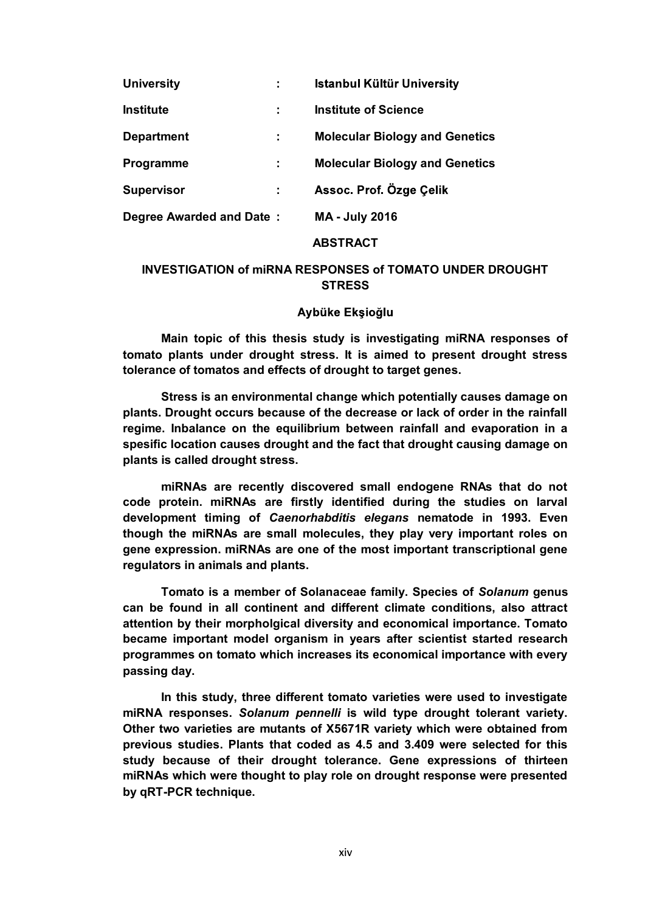| <b>University</b>        | ÷. | <b>Istanbul Kültür University</b>     |
|--------------------------|----|---------------------------------------|
| <b>Institute</b>         |    | <b>Institute of Science</b>           |
| <b>Department</b>        |    | <b>Molecular Biology and Genetics</b> |
| Programme                |    | <b>Molecular Biology and Genetics</b> |
| <b>Supervisor</b>        |    | Assoc. Prof. Özge Çelik               |
| Degree Awarded and Date: |    | <b>MA - July 2016</b>                 |

## ABSTRACT

# INVESTIGATION of miRNA RESPONSES of TOMATO UNDER DROUGHT **STRESS**

### Aybüke Ekşioğlu

Main topic of this thesis study is investigating miRNA responses of tomato plants under drought stress. It is aimed to present drought stress tolerance of tomatos and effects of drought to target genes.

Stress is an environmental change which potentially causes damage on plants. Drought occurs because of the decrease or lack of order in the rainfall regime. Inbalance on the equilibrium between rainfall and evaporation in a spesific location causes drought and the fact that drought causing damage on plants is called drought stress.

miRNAs are recently discovered small endogene RNAs that do not code protein. miRNAs are firstly identified during the studies on larval development timing of Caenorhabditis elegans nematode in 1993. Even though the miRNAs are small molecules, they play very important roles on gene expression. miRNAs are one of the most important transcriptional gene regulators in animals and plants.

Tomato is a member of Solanaceae family. Species of Solanum genus can be found in all continent and different climate conditions, also attract attention by their morpholgical diversity and economical importance. Tomato became important model organism in years after scientist started research programmes on tomato which increases its economical importance with every passing day.

In this study, three different tomato varieties were used to investigate miRNA responses. Solanum pennelli is wild type drought tolerant variety. Other two varieties are mutants of X5671R variety which were obtained from previous studies. Plants that coded as 4.5 and 3.409 were selected for this study because of their drought tolerance. Gene expressions of thirteen miRNAs which were thought to play role on drought response were presented by qRT-PCR technique.